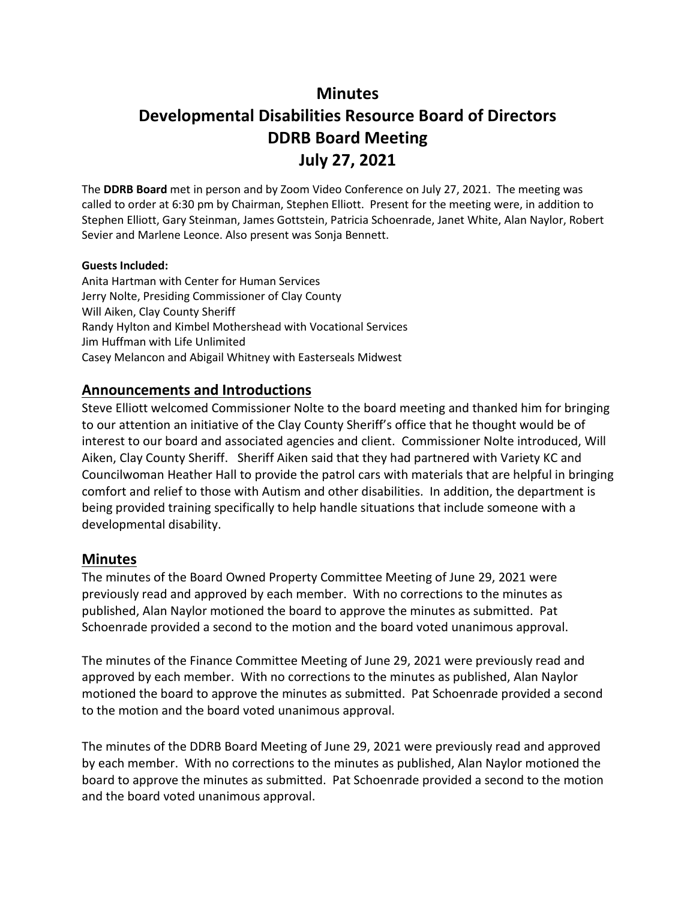# **Minutes**

# **Developmental Disabilities Resource Board of Directors DDRB Board Meeting July 27, 2021**

The **DDRB Board** met in person and by Zoom Video Conference on July 27, 2021. The meeting was called to order at 6:30 pm by Chairman, Stephen Elliott. Present for the meeting were, in addition to Stephen Elliott, Gary Steinman, James Gottstein, Patricia Schoenrade, Janet White, Alan Naylor, Robert Sevier and Marlene Leonce. Also present was Sonja Bennett.

#### **Guests Included:**

Anita Hartman with Center for Human Services Jerry Nolte, Presiding Commissioner of Clay County Will Aiken, Clay County Sheriff Randy Hylton and Kimbel Mothershead with Vocational Services Jim Huffman with Life Unlimited Casey Melancon and Abigail Whitney with Easterseals Midwest

### **Announcements and Introductions**

Steve Elliott welcomed Commissioner Nolte to the board meeting and thanked him for bringing to our attention an initiative of the Clay County Sheriff's office that he thought would be of interest to our board and associated agencies and client. Commissioner Nolte introduced, Will Aiken, Clay County Sheriff. Sheriff Aiken said that they had partnered with Variety KC and Councilwoman Heather Hall to provide the patrol cars with materials that are helpful in bringing comfort and relief to those with Autism and other disabilities. In addition, the department is being provided training specifically to help handle situations that include someone with a developmental disability.

### **Minutes**

The minutes of the Board Owned Property Committee Meeting of June 29, 2021 were previously read and approved by each member. With no corrections to the minutes as published, Alan Naylor motioned the board to approve the minutes as submitted. Pat Schoenrade provided a second to the motion and the board voted unanimous approval.

The minutes of the Finance Committee Meeting of June 29, 2021 were previously read and approved by each member. With no corrections to the minutes as published, Alan Naylor motioned the board to approve the minutes as submitted. Pat Schoenrade provided a second to the motion and the board voted unanimous approval.

The minutes of the DDRB Board Meeting of June 29, 2021 were previously read and approved by each member. With no corrections to the minutes as published, Alan Naylor motioned the board to approve the minutes as submitted. Pat Schoenrade provided a second to the motion and the board voted unanimous approval.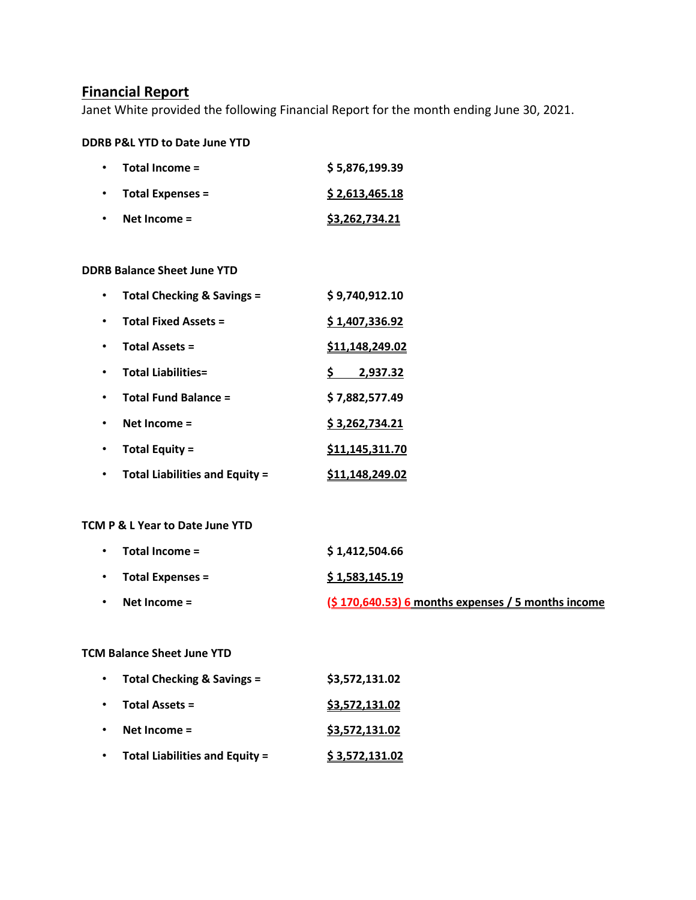## **Financial Report**

Janet White provided the following Financial Report for the month ending June 30, 2021.

#### **DDRB P&L YTD to Date June YTD**

| $\bullet$ | Total Income =          | \$5,876,199.39 |
|-----------|-------------------------|----------------|
| $\bullet$ | <b>Total Expenses =</b> | \$2,613,465.18 |
| $\bullet$ | Net Income $=$          | \$3,262,734.21 |

#### **DDRB Balance Sheet June YTD**

| <b>Total Checking &amp; Savings =</b> | \$9,740,912.10         |
|---------------------------------------|------------------------|
| <b>Total Fixed Assets =</b>           | \$1,407,336.92         |
| <b>Total Assets =</b>                 | <u>\$11,148,249.02</u> |
| <b>Total Liabilities=</b>             | 2,937.32               |
| <b>Total Fund Balance =</b>           | \$7,882,577.49         |
| Net Income $=$                        | \$3,262,734.21         |
| Total Equity =                        | \$11,145,311.70        |
| <b>Total Liabilities and Equity =</b> | \$11,148,249.02        |

#### **TCM P & L Year to Date June YTD**

| $\bullet$ | Total Income =          | \$1.412.504.66                                      |
|-----------|-------------------------|-----------------------------------------------------|
| $\bullet$ | <b>Total Expenses =</b> | \$1,583,145.19                                      |
| $\bullet$ | Net Income $=$          | $(5170,640.53)$ 6 months expenses / 5 months income |

#### **TCM Balance Sheet June YTD**

| $\bullet$ | Total Checking & Savings =            | \$3,572,131.02 |
|-----------|---------------------------------------|----------------|
| $\bullet$ | <b>Total Assets =</b>                 | \$3,572,131.02 |
|           | Net Income $=$                        | \$3,572,131.02 |
|           | <b>Total Liabilities and Equity =</b> | \$3,572,131.02 |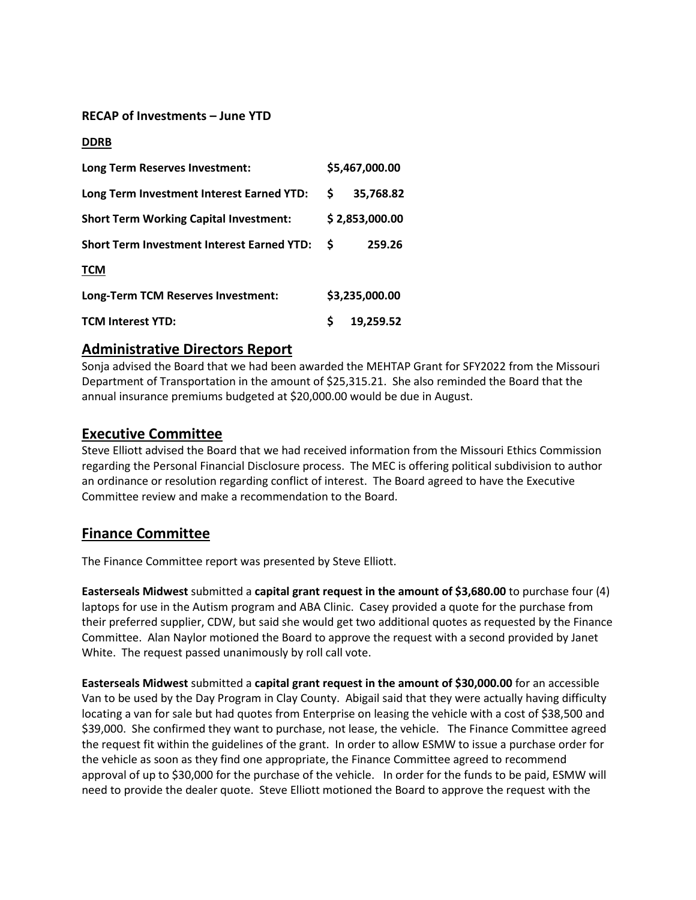### **RECAP of Investments – June YTD**

#### **DDRB**

| Long Term Reserves Investment:                    |    | \$5,467,000.00 |
|---------------------------------------------------|----|----------------|
| Long Term Investment Interest Earned YTD:         | S. | 35,768.82      |
| <b>Short Term Working Capital Investment:</b>     |    | \$2,853,000.00 |
| <b>Short Term Investment Interest Earned YTD:</b> | S  | 259.26         |
| <b>TCM</b>                                        |    |                |
| Long-Term TCM Reserves Investment:                |    | \$3,235,000.00 |
| <b>TCM Interest YTD:</b>                          | Ś  | 19,259.52      |

### **Administrative Directors Report**

Sonja advised the Board that we had been awarded the MEHTAP Grant for SFY2022 from the Missouri Department of Transportation in the amount of \$25,315.21. She also reminded the Board that the annual insurance premiums budgeted at \$20,000.00 would be due in August.

### **Executive Committee**

Steve Elliott advised the Board that we had received information from the Missouri Ethics Commission regarding the Personal Financial Disclosure process. The MEC is offering political subdivision to author an ordinance or resolution regarding conflict of interest. The Board agreed to have the Executive Committee review and make a recommendation to the Board.

# **Finance Committee**

The Finance Committee report was presented by Steve Elliott.

**Easterseals Midwest** submitted a **capital grant request in the amount of \$3,680.00** to purchase four (4) laptops for use in the Autism program and ABA Clinic. Casey provided a quote for the purchase from their preferred supplier, CDW, but said she would get two additional quotes as requested by the Finance Committee. Alan Naylor motioned the Board to approve the request with a second provided by Janet White. The request passed unanimously by roll call vote.

**Easterseals Midwest** submitted a **capital grant request in the amount of \$30,000.00** for an accessible Van to be used by the Day Program in Clay County. Abigail said that they were actually having difficulty locating a van for sale but had quotes from Enterprise on leasing the vehicle with a cost of \$38,500 and \$39,000. She confirmed they want to purchase, not lease, the vehicle. The Finance Committee agreed the request fit within the guidelines of the grant. In order to allow ESMW to issue a purchase order for the vehicle as soon as they find one appropriate, the Finance Committee agreed to recommend approval of up to \$30,000 for the purchase of the vehicle. In order for the funds to be paid, ESMW will need to provide the dealer quote. Steve Elliott motioned the Board to approve the request with the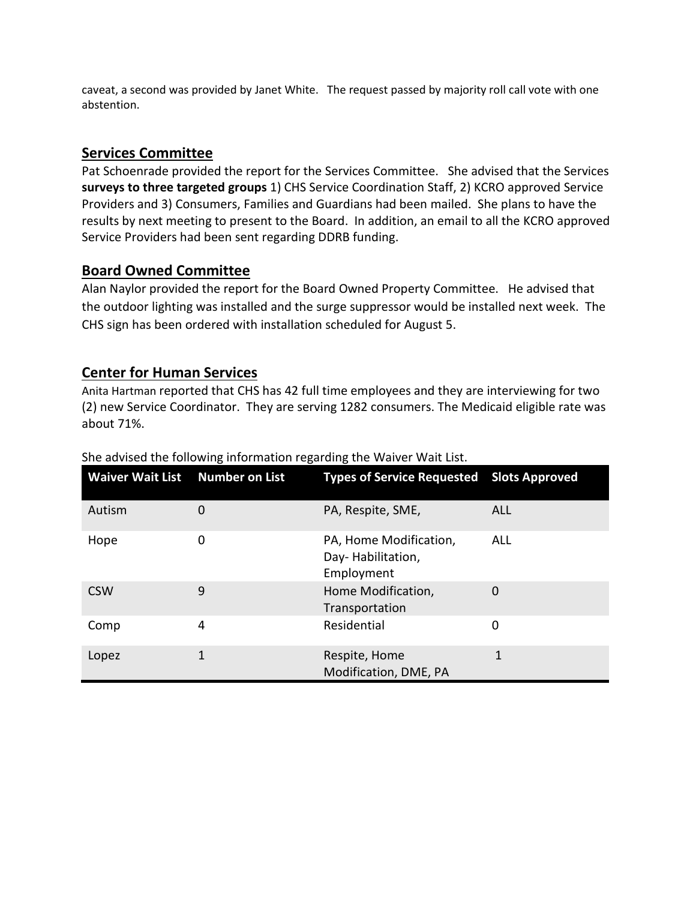caveat, a second was provided by Janet White. The request passed by majority roll call vote with one abstention.

# **Services Committee**

Pat Schoenrade provided the report for the Services Committee. She advised that the Services **surveys to three targeted groups** 1) CHS Service Coordination Staff, 2) KCRO approved Service Providers and 3) Consumers, Families and Guardians had been mailed. She plans to have the results by next meeting to present to the Board. In addition, an email to all the KCRO approved Service Providers had been sent regarding DDRB funding.

# **Board Owned Committee**

Alan Naylor provided the report for the Board Owned Property Committee. He advised that the outdoor lighting was installed and the surge suppressor would be installed next week. The CHS sign has been ordered with installation scheduled for August 5.

# **Center for Human Services**

Anita Hartman reported that CHS has 42 full time employees and they are interviewing for two (2) new Service Coordinator. They are serving 1282 consumers. The Medicaid eligible rate was about 71%.

| Waiver Wait List Number on List |   | Types of Service Requested Slots Approved                 |            |
|---------------------------------|---|-----------------------------------------------------------|------------|
| Autism                          | 0 | PA, Respite, SME,                                         | <b>ALL</b> |
| Hope                            | 0 | PA, Home Modification,<br>Day-Habilitation,<br>Employment | ALL        |
| <b>CSW</b>                      | 9 | Home Modification,<br>Transportation                      | 0          |
| Comp                            | 4 | Residential                                               | 0          |
| Lopez                           | 1 | Respite, Home<br>Modification, DME, PA                    | 1          |

### She advised the following information regarding the Waiver Wait List.